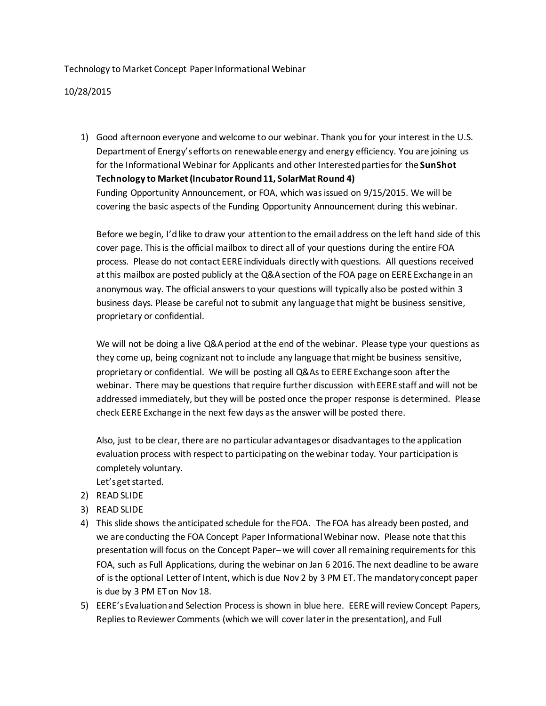Technology to Market Concept Paper Informational Webinar

10/28/2015

1) Good afternoon everyone and welcome to our webinar. Thank you for your interest in the U.S. Department of Energy's efforts on renewable energy and energy efficiency. You are joining us for the Informational Webinar for Applicants and other Interested parties for the **SunShot Technology to Market (Incubator Round 11, SolarMat Round 4)** Funding Opportunity Announcement, or FOA, which was issued on 9/15/2015. We will be covering the basic aspects of the Funding Opportunity Announcement during this webinar.

Before we begin, I'd like to draw your attention to the email address on the left hand side of this cover page. This is the official mailbox to direct all of your questions during the entire FOA process. Please do not contact EERE individuals directly with questions. All questions received at this mailbox are posted publicly at the Q&A section of the FOA page on EERE Exchange in an anonymous way. The official answers to your questions will typically also be posted within 3 business days. Please be careful not to submit any language that might be business sensitive, proprietary or confidential.

We will not be doing a live Q&A period at the end of the webinar. Please type your questions as they come up, being cognizant not to include any language that might be business sensitive, proprietary or confidential. We will be posting all Q&As to EERE Exchange soon after the webinar. There may be questions that require further discussion with EERE staff and will not be addressed immediately, but they will be posted once the proper response is determined. Please check EERE Exchange in the next few days as the answer will be posted there.

Also, just to be clear, there are no particular advantages or disadvantages to the application evaluation process with respect to participating on the webinar today. Your participation is completely voluntary.

Let's get started.

- 2) READ SLIDE
- 3) READ SLIDE
- 4) This slide shows the anticipated schedule for the FOA. The FOA has already been posted, and we are conducting the FOA Concept Paper Informational Webinar now. Please note that this presentation will focus on the Concept Paper– we will cover all remaining requirements for this FOA, such as Full Applications, during the webinar on Jan 6 2016. The next deadline to be aware of is the optional Letter of Intent, which is due Nov 2 by 3 PM ET. The mandatory concept paper is due by 3 PM ET on Nov 18.
- 5) EERE's Evaluation and Selection Process is shown in blue here. EERE will review Concept Papers, Replies to Reviewer Comments (which we will cover later in the presentation), and Full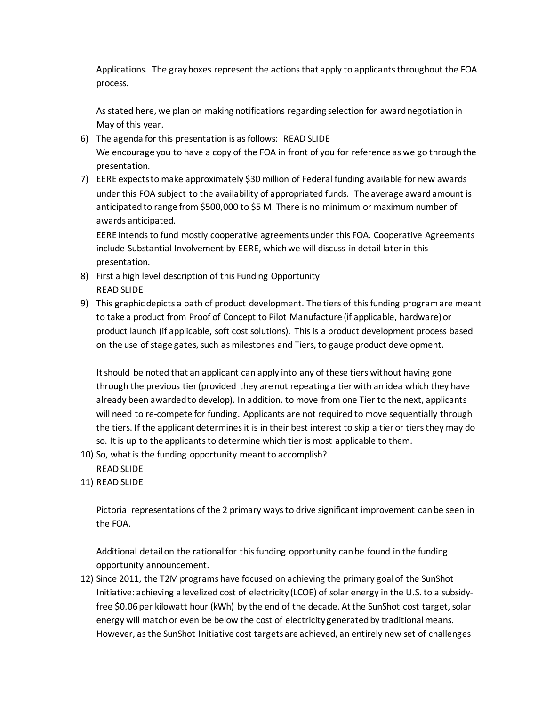Applications. The gray boxes represent the actions that apply to applicants throughout the FOA process.

As stated here, we plan on making notifications regarding selection for award negotiation in May of this year.

- 6) The agenda for this presentation is as follows: READ SLIDE We encourage you to have a copy of the FOA in front of you for reference as we go through the presentation.
- 7) EERE expects to make approximately \$30 million of Federal funding available for new awards under this FOA subject to the availability of appropriated funds. The average award amount is anticipated to range from \$500,000 to \$5 M. There is no minimum or maximum number of awards anticipated.

EERE intends to fund mostly cooperative agreements under this FOA. Cooperative Agreements include Substantial Involvement by EERE, which we will discuss in detail later in this presentation.

- 8) First a high level description of this Funding Opportunity READ SLIDE
- 9) This graphic depicts a path of product development. The tiers of this funding program are meant to take a product from Proof of Concept to Pilot Manufacture (if applicable, hardware) or product launch (if applicable, soft cost solutions). This is a product development process based on the use of stage gates, such as milestones and Tiers, to gauge product development.

It should be noted that an applicant can apply into any of these tiers without having gone through the previous tier (provided they are not repeating a tier with an idea which they have already been awarded to develop). In addition, to move from one Tier to the next, applicants will need to re-compete for funding. Applicants are not required to move sequentially through the tiers. If the applicant determines it is in their best interest to skip a tier or tiers they may do so. It is up to the applicants to determine which tier is most applicable to them.

- 10) So, what is the funding opportunity meant to accomplish?
- READ SLIDE
- 11) READ SLIDE

Pictorial representations of the 2 primary ways to drive significant improvement can be seen in the FOA.

Additional detail on the rational for this funding opportunity can be found in the funding opportunity announcement.

12) Since 2011, the T2M programs have focused on achieving the primary goal of the SunShot Initiative: achieving a levelized cost of electricity (LCOE) of solar energy in the U.S. to a subsidyfree \$0.06 per kilowatt hour (kWh) by the end of the decade. At the SunShot cost target, solar energy will match or even be below the cost of electricity generated by traditional means. However, as the SunShot Initiative cost targets are achieved, an entirely new set of challenges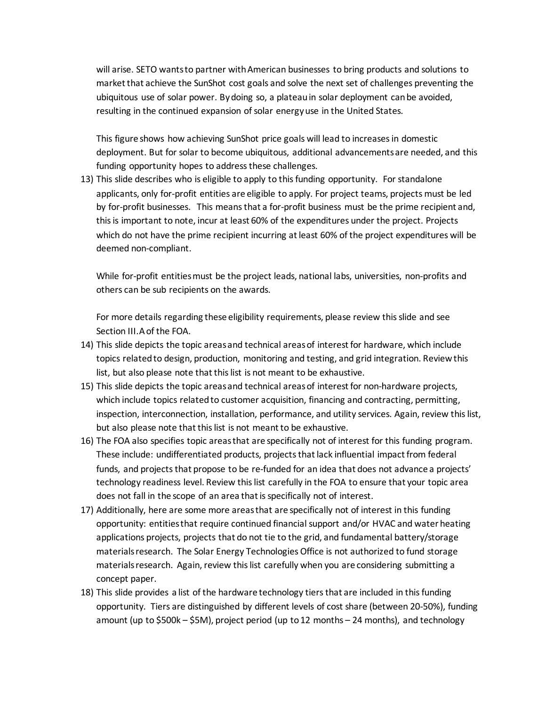will arise. SETO wants to partner with American businesses to bring products and solutions to market that achieve the SunShot cost goals and solve the next set of challenges preventing the ubiquitous use of solar power. By doing so, a plateau in solar deployment can be avoided, resulting in the continued expansion of solar energy use in the United States.

This figure shows how achieving SunShot price goals will lead to increases in domestic deployment. But for solar to become ubiquitous, additional advancements are needed, and this funding opportunity hopes to address these challenges.

13) This slide describes who is eligible to apply to this funding opportunity. For standalone applicants, only for-profit entities are eligible to apply. For project teams, projects must be led by for-profit businesses. This means that a for-profit business must be the prime recipient and, this is important to note, incur at least 60% of the expenditures under the project. Projects which do not have the prime recipient incurring at least 60% of the project expenditures will be deemed non-compliant.

While for-profit entities must be the project leads, national labs, universities, non-profits and others can be sub recipients on the awards.

For more details regarding these eligibility requirements, please review this slide and see Section III.A of the FOA.

- 14) This slide depicts the topic areas and technical areas of interest for hardware, which include topics related to design, production, monitoring and testing, and grid integration. Review this list, but also please note that this list is not meant to be exhaustive.
- 15) This slide depicts the topic areas and technical areasof interest for non-hardware projects, which include topics related to customer acquisition, financing and contracting, permitting, inspection, interconnection, installation, performance, and utility services. Again, review this list, but also please note that this list is not meant to be exhaustive.
- 16) The FOA also specifies topic areas that are specifically not of interest for this funding program. These include: undifferentiated products, projects that lack influential impact from federal funds, and projects that propose to be re-funded for an idea that does not advance a projects' technology readiness level. Review this list carefully in the FOA to ensure that your topic area does not fall in the scope of an area that is specifically not of interest.
- 17) Additionally, here are some more areas that are specifically not of interest in this funding opportunity: entities that require continued financial support and/or HVAC and water heating applications projects, projects that do not tie to the grid, and fundamental battery/storage materials research. The Solar Energy Technologies Office is not authorized to fund storage materials research. Again, review this list carefully when you are considering submitting a concept paper.
- 18) This slide provides a list of the hardware technology tiers that are included in this funding opportunity. Tiers are distinguished by different levels of cost share (between 20-50%), funding amount (up to \$500k – \$5M), project period (up to 12 months – 24 months), and technology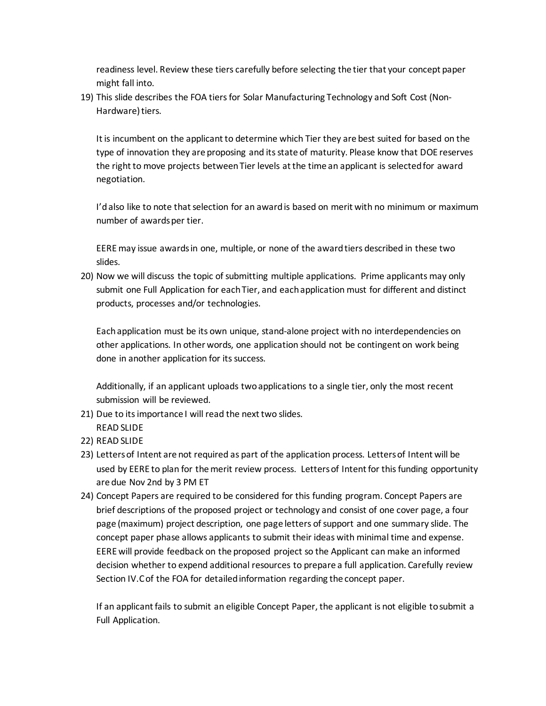readiness level. Review these tiers carefully before selecting the tier that your concept paper might fall into.

19) This slide describes the FOA tiers for Solar Manufacturing Technology and Soft Cost (Non-Hardware) tiers.

It is incumbent on the applicant to determine which Tier they are best suited for based on the type of innovation they are proposing and its state of maturity. Please know that DOE reserves the right to move projects between Tier levels at the time an applicant is selected for award negotiation.

I'dalso like to note that selection for an award is based on merit with no minimum or maximum number of awards per tier.

EERE may issue awards in one, multiple, or none of the award tiers described in these two slides.

20) Now we will discuss the topic of submitting multiple applications. Prime applicants may only submit one Full Application for each Tier, and each application must for different and distinct products, processes and/or technologies.

Each application must be its own unique, stand-alone project with no interdependencies on other applications. In other words, one application should not be contingent on work being done in another application for its success.

Additionally, if an applicant uploads two applications to a single tier, only the most recent submission will be reviewed.

- 21) Due to its importance I will read the next two slides. READ SLIDE
- 22) READ SLIDE
- 23) Letters of Intent are not required as part of the application process. Letters of Intent will be used by EERE to plan for the merit review process. Letters of Intent for this funding opportunity are due Nov 2nd by 3 PM ET
- 24) Concept Papers are required to be considered for this funding program. Concept Papers are brief descriptions of the proposed project or technology and consist of one cover page, a four page (maximum) project description, one page letters of support and one summary slide. The concept paper phase allows applicants to submit their ideas with minimal time and expense. EERE will provide feedback on the proposed project so the Applicant can make an informed decision whether to expend additional resources to prepare a full application. Carefully review Section IV.C of the FOA for detailed information regarding the concept paper.

If an applicant fails to submit an eligible Concept Paper, the applicant is not eligible to submit a Full Application.